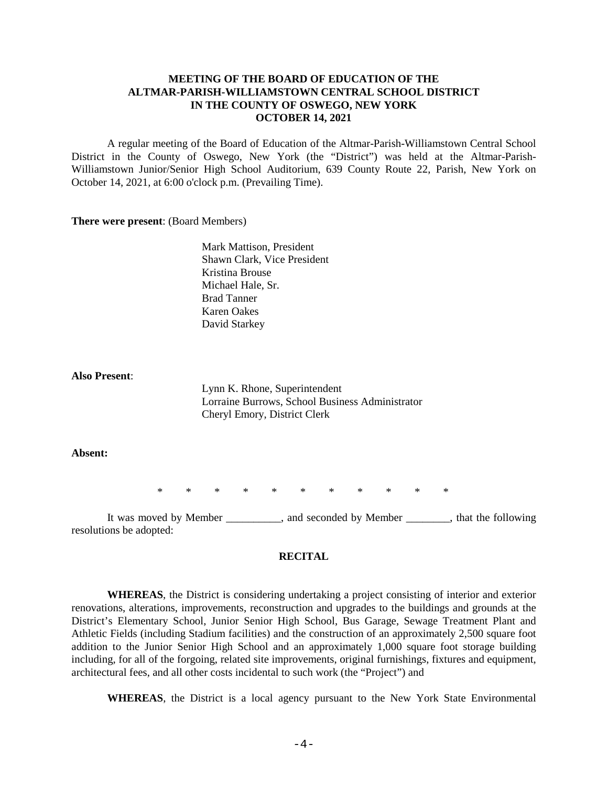# **MEETING OF THE BOARD OF EDUCATION OF THE ALTMAR-PARISH-WILLIAMSTOWN CENTRAL SCHOOL DISTRICT IN THE COUNTY OF OSWEGO, NEW YORK OCTOBER 14, 2021**

A regular meeting of the Board of Education of the Altmar-Parish-Williamstown Central School District in the County of Oswego, New York (the "District") was held at the Altmar-Parish-Williamstown Junior/Senior High School Auditorium, 639 County Route 22, Parish, New York on October 14, 2021, at 6:00 o'clock p.m. (Prevailing Time).

#### **There were present**: (Board Members)

Mark Mattison, President Shawn Clark, Vice President Kristina Brouse Michael Hale, Sr. Brad Tanner Karen Oakes David Starkey

#### **Also Present**:

Lynn K. Rhone, Superintendent Lorraine Burrows, School Business Administrator Cheryl Emory, District Clerk

## **Absent:**

\* \* \* \* \* \* \* \* \* \* \*

It was moved by Member \_\_\_\_\_\_\_\_\_\_, and seconded by Member \_\_\_\_\_\_\_\_, that the following resolutions be adopted:

#### **RECITAL**

**WHEREAS**, the District is considering undertaking a project consisting of interior and exterior renovations, alterations, improvements, reconstruction and upgrades to the buildings and grounds at the District's Elementary School, Junior Senior High School, Bus Garage, Sewage Treatment Plant and Athletic Fields (including Stadium facilities) and the construction of an approximately 2,500 square foot addition to the Junior Senior High School and an approximately 1,000 square foot storage building including, for all of the forgoing, related site improvements, original furnishings, fixtures and equipment, architectural fees, and all other costs incidental to such work (the "Project") and

**WHEREAS**, the District is a local agency pursuant to the New York State Environmental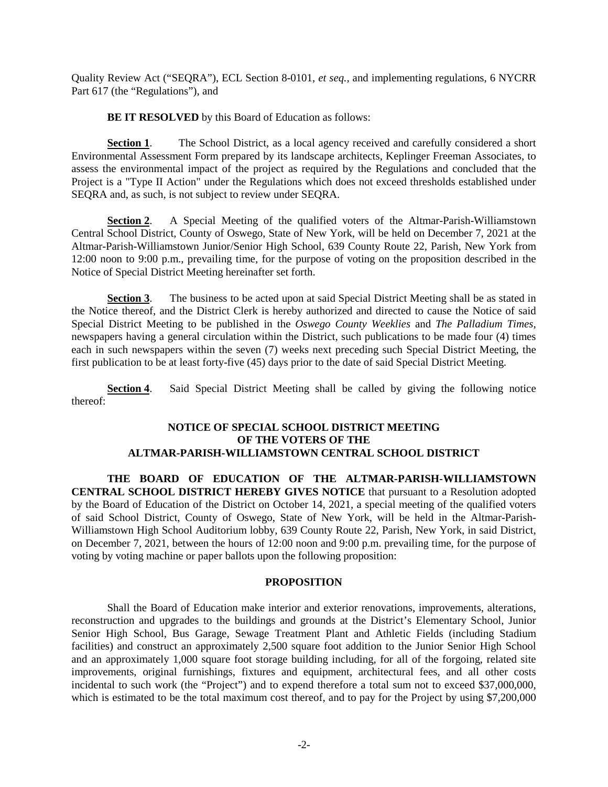Quality Review Act ("SEQRA"), ECL Section 8-0101, *et seq.,* and implementing regulations, 6 NYCRR Part 617 (the "Regulations"), and

**BE IT RESOLVED** by this Board of Education as follows:

**Section 1.** The School District, as a local agency received and carefully considered a short Environmental Assessment Form prepared by its landscape architects, Keplinger Freeman Associates, to assess the environmental impact of the project as required by the Regulations and concluded that the Project is a "Type II Action" under the Regulations which does not exceed thresholds established under SEQRA and, as such, is not subject to review under SEQRA.

**Section 2**. A Special Meeting of the qualified voters of the Altmar-Parish-Williamstown Central School District, County of Oswego, State of New York, will be held on December 7, 2021 at the Altmar-Parish-Williamstown Junior/Senior High School, 639 County Route 22, Parish, New York from 12:00 noon to 9:00 p.m., prevailing time, for the purpose of voting on the proposition described in the Notice of Special District Meeting hereinafter set forth.

**Section 3.** The business to be acted upon at said Special District Meeting shall be as stated in the Notice thereof, and the District Clerk is hereby authorized and directed to cause the Notice of said Special District Meeting to be published in the *Oswego County Weeklies* and *The Palladium Times*, newspapers having a general circulation within the District, such publications to be made four (4) times each in such newspapers within the seven (7) weeks next preceding such Special District Meeting, the first publication to be at least forty-five (45) days prior to the date of said Special District Meeting.

**Section 4.** Said Special District Meeting shall be called by giving the following notice thereof:

# **NOTICE OF SPECIAL SCHOOL DISTRICT MEETING OF THE VOTERS OF THE ALTMAR-PARISH-WILLIAMSTOWN CENTRAL SCHOOL DISTRICT**

**THE BOARD OF EDUCATION OF THE ALTMAR-PARISH-WILLIAMSTOWN CENTRAL SCHOOL DISTRICT HEREBY GIVES NOTICE** that pursuant to a Resolution adopted by the Board of Education of the District on October 14, 2021, a special meeting of the qualified voters of said School District, County of Oswego, State of New York, will be held in the Altmar-Parish-Williamstown High School Auditorium lobby, 639 County Route 22, Parish, New York, in said District, on December 7, 2021, between the hours of 12:00 noon and 9:00 p.m. prevailing time, for the purpose of voting by voting machine or paper ballots upon the following proposition:

## **PROPOSITION**

Shall the Board of Education make interior and exterior renovations, improvements, alterations, reconstruction and upgrades to the buildings and grounds at the District's Elementary School, Junior Senior High School, Bus Garage, Sewage Treatment Plant and Athletic Fields (including Stadium facilities) and construct an approximately 2,500 square foot addition to the Junior Senior High School and an approximately 1,000 square foot storage building including, for all of the forgoing, related site improvements, original furnishings, fixtures and equipment, architectural fees, and all other costs incidental to such work (the "Project") and to expend therefore a total sum not to exceed \$37,000,000, which is estimated to be the total maximum cost thereof, and to pay for the Project by using \$7,200,000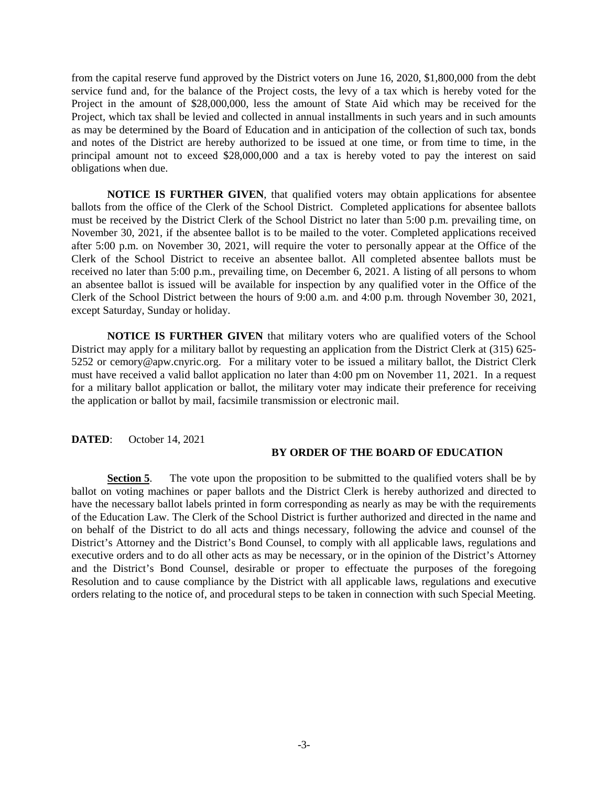from the capital reserve fund approved by the District voters on June 16, 2020, \$1,800,000 from the debt service fund and, for the balance of the Project costs, the levy of a tax which is hereby voted for the Project in the amount of \$28,000,000, less the amount of State Aid which may be received for the Project, which tax shall be levied and collected in annual installments in such years and in such amounts as may be determined by the Board of Education and in anticipation of the collection of such tax, bonds and notes of the District are hereby authorized to be issued at one time, or from time to time, in the principal amount not to exceed \$28,000,000 and a tax is hereby voted to pay the interest on said obligations when due.

**NOTICE IS FURTHER GIVEN**, that qualified voters may obtain applications for absentee ballots from the office of the Clerk of the School District. Completed applications for absentee ballots must be received by the District Clerk of the School District no later than 5:00 p.m. prevailing time, on November 30, 2021, if the absentee ballot is to be mailed to the voter. Completed applications received after 5:00 p.m. on November 30, 2021, will require the voter to personally appear at the Office of the Clerk of the School District to receive an absentee ballot. All completed absentee ballots must be received no later than 5:00 p.m., prevailing time, on December 6, 2021. A listing of all persons to whom an absentee ballot is issued will be available for inspection by any qualified voter in the Office of the Clerk of the School District between the hours of 9:00 a.m. and 4:00 p.m. through November 30, 2021, except Saturday, Sunday or holiday.

**NOTICE IS FURTHER GIVEN** that military voters who are qualified voters of the School District may apply for a military ballot by requesting an application from the District Clerk at (315) 625- 5252 or cemory@apw.cnyric.org. For a military voter to be issued a military ballot, the District Clerk must have received a valid ballot application no later than 4:00 pm on November 11, 2021. In a request for a military ballot application or ballot, the military voter may indicate their preference for receiving the application or ballot by mail, facsimile transmission or electronic mail.

### **DATED**: October 14, 2021

#### **BY ORDER OF THE BOARD OF EDUCATION**

**Section 5**. The vote upon the proposition to be submitted to the qualified voters shall be by ballot on voting machines or paper ballots and the District Clerk is hereby authorized and directed to have the necessary ballot labels printed in form corresponding as nearly as may be with the requirements of the Education Law. The Clerk of the School District is further authorized and directed in the name and on behalf of the District to do all acts and things necessary, following the advice and counsel of the District's Attorney and the District's Bond Counsel, to comply with all applicable laws, regulations and executive orders and to do all other acts as may be necessary, or in the opinion of the District's Attorney and the District's Bond Counsel, desirable or proper to effectuate the purposes of the foregoing Resolution and to cause compliance by the District with all applicable laws, regulations and executive orders relating to the notice of, and procedural steps to be taken in connection with such Special Meeting.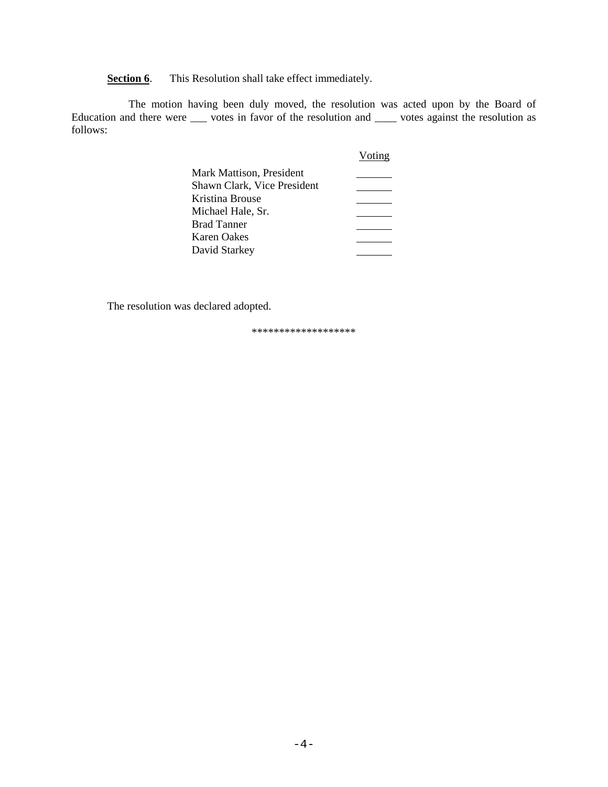**Section 6**. This Resolution shall take effect immediately.

The motion having been duly moved, the resolution was acted upon by the Board of Education and there were \_\_\_ votes in favor of the resolution and \_\_\_\_ votes against the resolution as follows:

|                             | Voting |
|-----------------------------|--------|
| Mark Mattison, President    |        |
| Shawn Clark, Vice President |        |
| Kristina Brouse             |        |
| Michael Hale, Sr.           |        |
| <b>Brad Tanner</b>          |        |
| Karen Oakes                 |        |
| David Starkey               |        |

The resolution was declared adopted.

\*\*\*\*\*\*\*\*\*\*\*\*\*\*\*\*\*\*\*